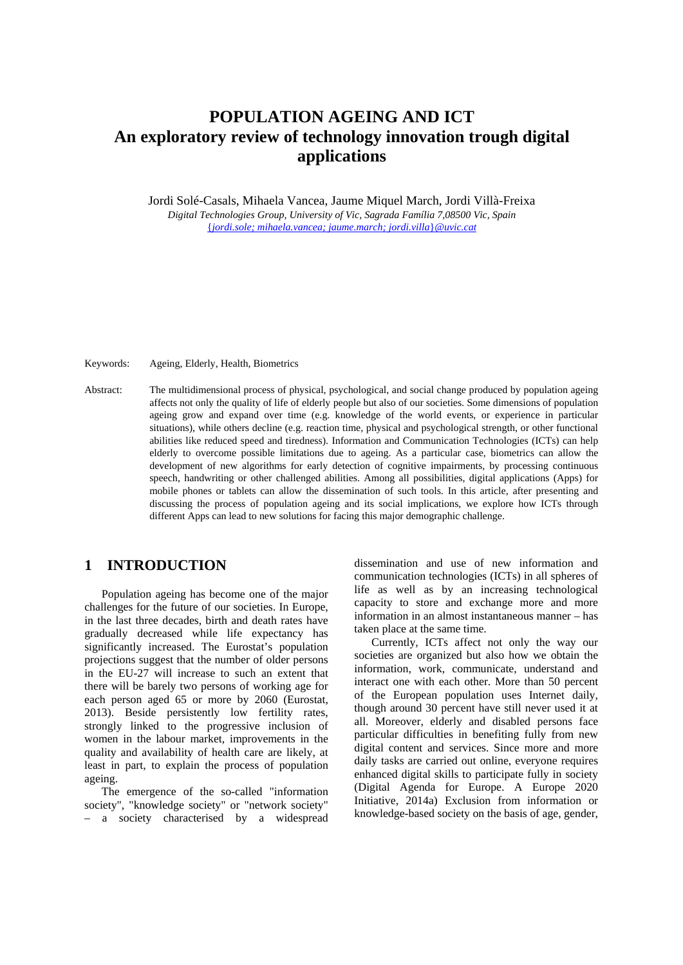# **POPULATION AGEING AND ICT An exploratory review of technology innovation trough digital applications**

Jordi Solé-Casals, Mihaela Vancea, Jaume Miquel March, Jordi Villà-Freixa *Digital Technologies Group, University of Vic, Sagrada Família 7,08500 Vic, Spain* {*[jordi.sole; mihaela.vancea; jaume.march; jordi.villa](mailto:jordi.sole;%20mihaela.vancea;%20jaume.march;%20jordi.villa%7d@uvic.cat)*}*@uvic.cat*

Keywords: Ageing, Elderly, Health, Biometrics

Abstract: The multidimensional process of physical, psychological, and social change produced by population ageing affects not only the quality of life of elderly people but also of our societies. Some dimensions of population ageing grow and expand over time (e.g. knowledge of the world events, or experience in particular situations), while others decline (e.g. reaction time, physical and psychological strength, or other functional abilities like reduced speed and tiredness). Information and Communication Technologies (ICTs) can help elderly to overcome possible limitations due to ageing. As a particular case, biometrics can allow the development of new algorithms for early detection of cognitive impairments, by processing continuous speech, handwriting or other challenged abilities. Among all possibilities, digital applications (Apps) for mobile phones or tablets can allow the dissemination of such tools. In this article, after presenting and discussing the process of population ageing and its social implications, we explore how ICTs through different Apps can lead to new solutions for facing this major demographic challenge.

#### **1 INTRODUCTION**

Population ageing has become one of the major challenges for the future of our societies. In Europe, in the last three decades, birth and death rates have gradually decreased while life expectancy has significantly increased. The Eurostat's population projections suggest that the number of older persons in the EU-27 will increase to such an extent that there will be barely two persons of working age for each person aged 65 or more by 2060 (Eurostat, 2013). Beside persistently low fertility rates, strongly linked to the progressive inclusion of women in the labour market, improvements in the quality and availability of health care are likely, at least in part, to explain the process of population ageing.

The emergence of the so-called "information society", "knowledge society" or "network society" – a society characterised by a widespread

dissemination and use of new information and communication technologies (ICTs) in all spheres of life as well as by an increasing technological capacity to store and exchange more and more information in an almost instantaneous manner – has taken place at the same time.

Currently, ICTs affect not only the way our societies are organized but also how we obtain the information, work, communicate, understand and interact one with each other. More than 50 percent of the European population uses Internet daily, though around 30 percent have still never used it at all. Moreover, elderly and disabled persons face particular difficulties in benefiting fully from new digital content and services. Since more and more daily tasks are carried out online, everyone requires enhanced digital skills to participate fully in society (Digital Agenda for Europe. A Europe 2020 Initiative, 2014a) Exclusion from information or knowledge-based society on the basis of age, gender,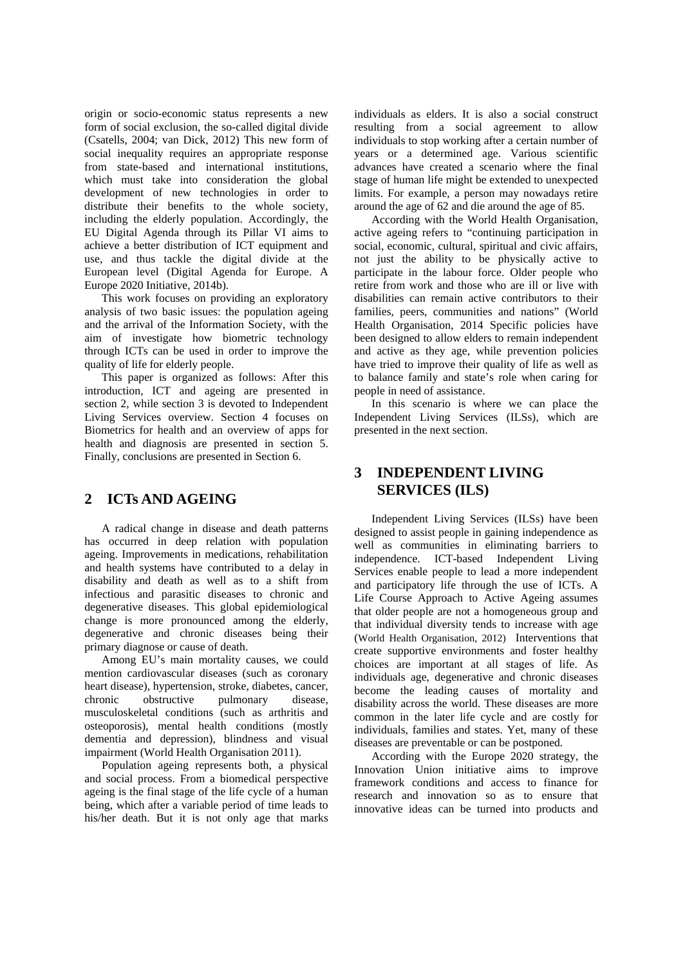origin or socio-economic status represents a new form of social exclusion, the so-called digital divide (Csatells, 2004; van Dick, 2012) This new form of social inequality requires an appropriate response from state-based and international institutions, which must take into consideration the global development of new technologies in order to distribute their benefits to the whole society, including the elderly population. Accordingly, the EU Digital Agenda through its Pillar VI aims to achieve a better distribution of ICT equipment and use, and thus tackle the digital divide at the European level (Digital Agenda for Europe. A Europe 2020 Initiative, 2014b).

This work focuses on providing an exploratory analysis of two basic issues: the population ageing and the arrival of the Information Society, with the aim of investigate how biometric technology through ICTs can be used in order to improve the quality of life for elderly people.

This paper is organized as follows: After this introduction, ICT and ageing are presented in section 2, while section 3 is devoted to Independent Living Services overview. Section 4 focuses on Biometrics for health and an overview of apps for health and diagnosis are presented in section 5. Finally, conclusions are presented in Section 6.

## **2 ICTs AND AGEING**

A radical change in disease and death patterns has occurred in deep relation with population ageing. Improvements in medications, rehabilitation and health systems have contributed to a delay in disability and death as well as to a shift from infectious and parasitic diseases to chronic and degenerative diseases. This global epidemiological change is more pronounced among the elderly, degenerative and chronic diseases being their primary diagnose or cause of death.

Among EU's main mortality causes, we could mention cardiovascular diseases (such as coronary heart disease), hypertension, stroke, diabetes, cancer, chronic obstructive pulmonary disease, musculoskeletal conditions (such as arthritis and osteoporosis), mental health conditions (mostly dementia and depression), blindness and visual impairment (World Health Organisation 2011).

Population ageing represents both, a physical and social process. From a biomedical perspective ageing is the final stage of the life cycle of a human being, which after a variable period of time leads to his/her death. But it is not only age that marks

individuals as elders. It is also a social construct resulting from a social agreement to allow individuals to stop working after a certain number of years or a determined age. Various scientific advances have created a scenario where the final stage of human life might be extended to unexpected limits. For example, a person may nowadays retire around the age of 62 and die around the age of 85.

According with the World Health Organisation, active ageing refers to "continuing participation in social, economic, cultural, spiritual and civic affairs, not just the ability to be physically active to participate in the labour force. Older people who retire from work and those who are ill or live with disabilities can remain active contributors to their families, peers, communities and nations" (World Health Organisation, 2014 Specific policies have been designed to allow elders to remain independent and active as they age, while prevention policies have tried to improve their quality of life as well as to balance family and state's role when caring for people in need of assistance.

In this scenario is where we can place the Independent Living Services (ILSs), which are presented in the next section.

# **3 INDEPENDENT LIVING SERVICES (ILS)**

Independent Living Services (ILSs) have been designed to assist people in gaining independence as well as communities in eliminating barriers to independence. ICT-based Independent Living Services enable people to lead a more independent and participatory life through the use of ICTs. A Life Course Approach to Active Ageing assumes that older people are not a homogeneous group and that individual diversity tends to increase with age (World Health Organisation, 2012) Interventions that create supportive environments and foster healthy choices are important at all stages of life. As individuals age, degenerative and chronic diseases become the leading causes of mortality and disability across the world. These diseases are more common in the later life cycle and are costly for individuals, families and states. Yet, many of these diseases are preventable or can be postponed.

According with the Europe 2020 strategy, the Innovation Union initiative aims to improve framework conditions and access to finance for research and innovation so as to ensure that innovative ideas can be turned into products and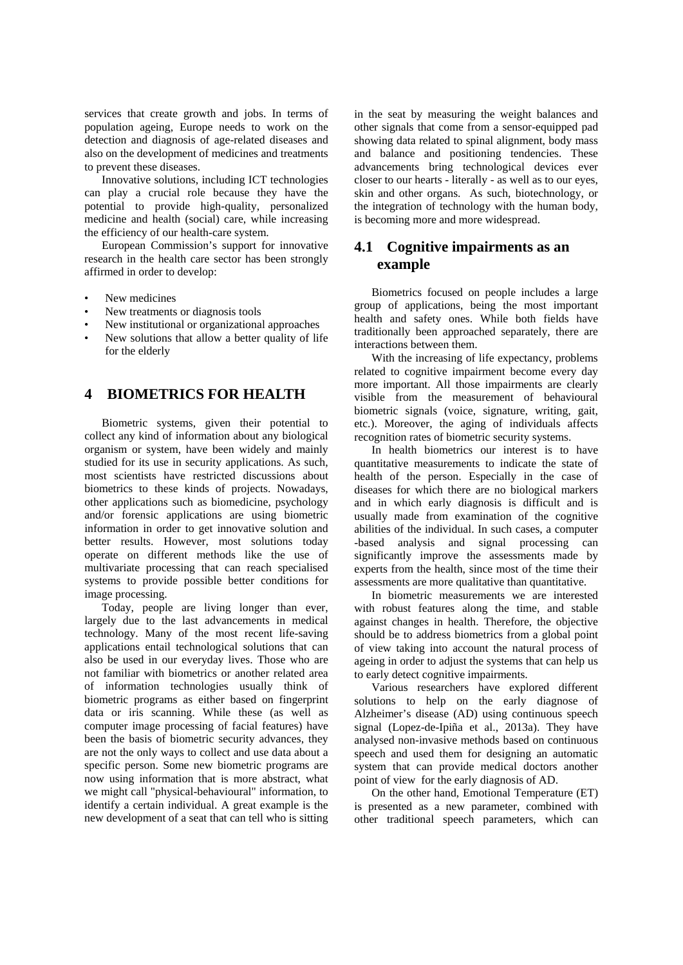services that create growth and jobs. In terms of population ageing, Europe needs to work on the detection and diagnosis of age-related diseases and also on the development of medicines and treatments to prevent these diseases.

Innovative solutions, including ICT technologies can play a crucial role because they have the potential to provide high-quality, personalized medicine and health (social) care, while increasing the efficiency of our health-care system.

European Commission's support for innovative research in the health care sector has been strongly affirmed in order to develop:

- New medicines
- New treatments or diagnosis tools
- New institutional or organizational approaches
- New solutions that allow a better quality of life for the elderly

#### **4 BIOMETRICS FOR HEALTH**

Biometric systems, given their potential to collect any kind of information about any biological organism or system, have been widely and mainly studied for its use in security applications. As such, most scientists have restricted discussions about biometrics to these kinds of projects. Nowadays, other applications such as biomedicine, psychology and/or forensic applications are using biometric information in order to get innovative solution and better results. However, most solutions today operate on different methods like the use of multivariate processing that can reach specialised systems to provide possible better conditions for image processing.

Today, people are living longer than ever, largely due to the last advancements in medical technology. Many of the most recent life-saving applications entail technological solutions that can also be used in our everyday lives. Those who are not familiar with biometrics or another related area of information technologies usually think of biometric programs as either based on fingerprint data or iris scanning. While these (as well as computer image processing of facial features) have been the basis of biometric security advances, they are not the only ways to collect and use data about a specific person. Some new biometric programs are now using information that is more abstract, what we might call "physical-behavioural" information, to identify a certain individual. A great example is the new development of a seat that can tell who is sitting

in the seat by measuring the weight balances and other signals that come from a sensor-equipped pad showing data related to spinal alignment, body mass and balance and positioning tendencies. These advancements bring technological devices ever closer to our hearts - literally - as well as to our eyes, skin and other organs. As such, biotechnology, or the integration of technology with the human body, is becoming more and more widespread.

## **4.1 Cognitive impairments as an example**

Biometrics focused on people includes a large group of applications, being the most important health and safety ones. While both fields have traditionally been approached separately, there are interactions between them.

With the increasing of life expectancy, problems related to cognitive impairment become every day more important. All those impairments are clearly visible from the measurement of behavioural biometric signals (voice, signature, writing, gait, etc.). Moreover, the aging of individuals affects recognition rates of biometric security systems.

In health biometrics our interest is to have quantitative measurements to indicate the state of health of the person. Especially in the case of diseases for which there are no biological markers and in which early diagnosis is difficult and is usually made from examination of the cognitive abilities of the individual. In such cases, a computer -based analysis and signal processing can significantly improve the assessments made by experts from the health, since most of the time their assessments are more qualitative than quantitative.

In biometric measurements we are interested with robust features along the time, and stable against changes in health. Therefore, the objective should be to address biometrics from a global point of view taking into account the natural process of ageing in order to adjust the systems that can help us to early detect cognitive impairments.

Various researchers have explored different solutions to help on the early diagnose of Alzheimer's disease (AD) using continuous speech signal (Lopez-de-Ipiña et al., 2013a). They have analysed non-invasive methods based on continuous speech and used them for designing an automatic system that can provide medical doctors another point of view for the early diagnosis of AD.

On the other hand, Emotional Temperature (ET) is presented as a new parameter, combined with other traditional speech parameters, which can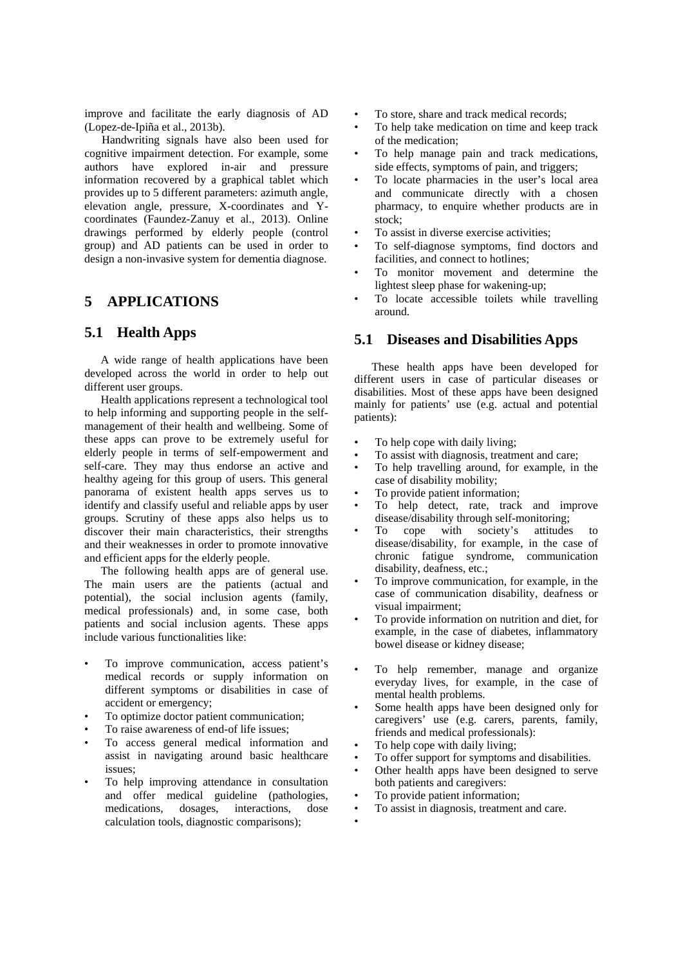improve and facilitate the early diagnosis of AD (Lopez-de-Ipiña et al., 2013b).

Handwriting signals have also been used for cognitive impairment detection. For example, some authors have explored in-air and pressure information recovered by a graphical tablet which provides up to 5 different parameters: azimuth angle, elevation angle, pressure, X-coordinates and Ycoordinates (Faundez-Zanuy et al., 2013). Online drawings performed by elderly people (control group) and AD patients can be used in order to design a non-invasive system for dementia diagnose.

### **5 APPLICATIONS**

#### **5.1 Health Apps**

A wide range of health applications have been developed across the world in order to help out different user groups.

Health applications represent a technological tool to help informing and supporting people in the selfmanagement of their health and wellbeing. Some of these apps can prove to be extremely useful for elderly people in terms of self-empowerment and self-care. They may thus endorse an active and healthy ageing for this group of users. This general panorama of existent health apps serves us to identify and classify useful and reliable apps by user groups. Scrutiny of these apps also helps us to discover their main characteristics, their strengths and their weaknesses in order to promote innovative and efficient apps for the elderly people.

The following health apps are of general use. The main users are the patients (actual and potential), the social inclusion agents (family, medical professionals) and, in some case, both patients and social inclusion agents. These apps include various functionalities like:

- To improve communication, access patient's medical records or supply information on different symptoms or disabilities in case of accident or emergency;
- To optimize doctor patient communication;
- To raise awareness of end-of life issues;
- To access general medical information and assist in navigating around basic healthcare issues;
- To help improving attendance in consultation and offer medical guideline (pathologies, medications, dosages, interactions, dose calculation tools, diagnostic comparisons);
- To store, share and track medical records;
- To help take medication on time and keep track of the medication;
- To help manage pain and track medications, side effects, symptoms of pain, and triggers;
- To locate pharmacies in the user's local area and communicate directly with a chosen pharmacy, to enquire whether products are in stock;
- To assist in diverse exercise activities;
- To self-diagnose symptoms, find doctors and facilities, and connect to hotlines;
- To monitor movement and determine the lightest sleep phase for wakening-up;
- To locate accessible toilets while travelling around.

#### **5.1 Diseases and Disabilities Apps**

These health apps have been developed for different users in case of particular diseases or disabilities. Most of these apps have been designed mainly for patients' use (e.g. actual and potential patients):

- To help cope with daily living;
- To assist with diagnosis, treatment and care;
- To help travelling around, for example, in the case of disability mobility;
- To provide patient information;
- To help detect, rate, track and improve disease/disability through self-monitoring;
- To cope with society's attitudes to disease/disability, for example, in the case of chronic fatigue syndrome, communication disability, deafness, etc.;
- To improve communication, for example, in the case of communication disability, deafness or visual impairment;
- To provide information on nutrition and diet, for example, in the case of diabetes, inflammatory bowel disease or kidney disease;
- To help remember, manage and organize everyday lives, for example, in the case of mental health problems.
- Some health apps have been designed only for caregivers' use (e.g. carers, parents, family, friends and medical professionals):
- To help cope with daily living;
- To offer support for symptoms and disabilities.
- Other health apps have been designed to serve both patients and caregivers:
- To provide patient information;
- To assist in diagnosis, treatment and care.
- •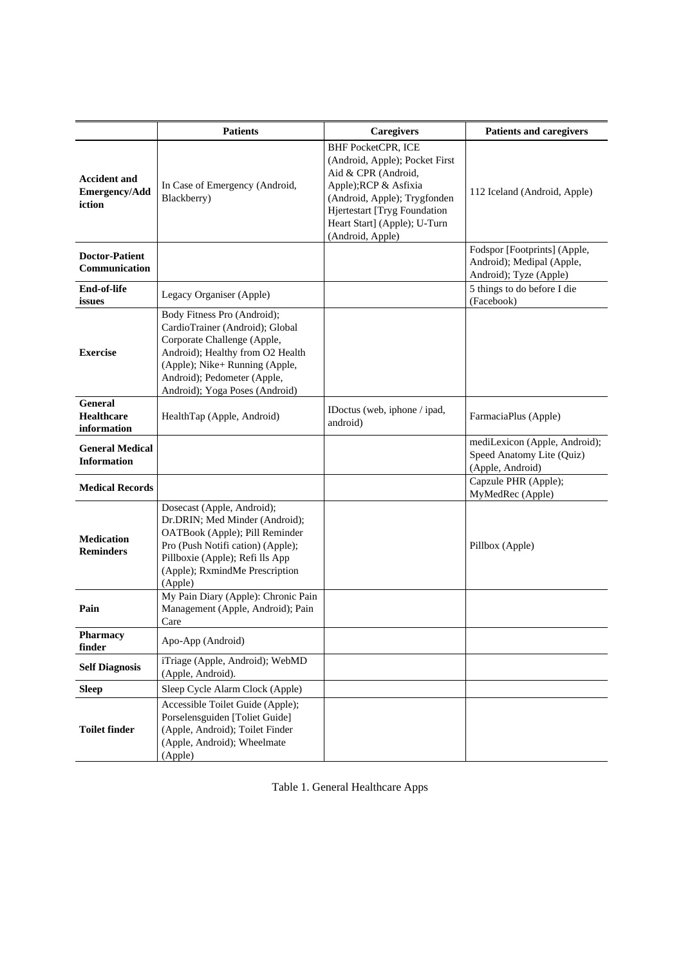|                                                       | <b>Patients</b>                                                                                                                                                                                                                      | Caregivers                                                                                                                                                                                                                      | <b>Patients and caregivers</b>                                                      |
|-------------------------------------------------------|--------------------------------------------------------------------------------------------------------------------------------------------------------------------------------------------------------------------------------------|---------------------------------------------------------------------------------------------------------------------------------------------------------------------------------------------------------------------------------|-------------------------------------------------------------------------------------|
| <b>Accident and</b><br><b>Emergency/Add</b><br>iction | In Case of Emergency (Android,<br>Blackberry)                                                                                                                                                                                        | <b>BHF PocketCPR, ICE</b><br>(Android, Apple); Pocket First<br>Aid & CPR (Android,<br>Apple); RCP & Asfixia<br>(Android, Apple); Trygfonden<br>Hjertestart [Tryg Foundation<br>Heart Start] (Apple); U-Turn<br>(Android, Apple) | 112 Iceland (Android, Apple)                                                        |
| <b>Doctor-Patient</b><br>Communication                |                                                                                                                                                                                                                                      |                                                                                                                                                                                                                                 | Fodspor [Footprints] (Apple,<br>Android); Medipal (Apple,<br>Android); Tyze (Apple) |
| End-of-life<br>issues                                 | Legacy Organiser (Apple)                                                                                                                                                                                                             |                                                                                                                                                                                                                                 | 5 things to do before I die<br>(Facebook)                                           |
| <b>Exercise</b>                                       | Body Fitness Pro (Android);<br>CardioTrainer (Android); Global<br>Corporate Challenge (Apple,<br>Android); Healthy from O2 Health<br>(Apple); Nike+ Running (Apple,<br>Android); Pedometer (Apple,<br>Android); Yoga Poses (Android) |                                                                                                                                                                                                                                 |                                                                                     |
| <b>General</b><br><b>Healthcare</b><br>information    | HealthTap (Apple, Android)                                                                                                                                                                                                           | IDoctus (web, iphone / ipad,<br>android)                                                                                                                                                                                        | FarmaciaPlus (Apple)                                                                |
| <b>General Medical</b><br><b>Information</b>          |                                                                                                                                                                                                                                      |                                                                                                                                                                                                                                 | mediLexicon (Apple, Android);<br>Speed Anatomy Lite (Quiz)<br>(Apple, Android)      |
| <b>Medical Records</b>                                |                                                                                                                                                                                                                                      |                                                                                                                                                                                                                                 | Capzule PHR (Apple);<br>MyMedRec (Apple)                                            |
| <b>Medication</b><br><b>Reminders</b>                 | Dosecast (Apple, Android);<br>Dr.DRIN; Med Minder (Android);<br>OATBook (Apple); Pill Reminder<br>Pro (Push Notifi cation) (Apple);<br>Pillboxie (Apple); Refi lls App<br>(Apple); RxmindMe Prescription<br>(Apple)                  |                                                                                                                                                                                                                                 | Pillbox (Apple)                                                                     |
| Pain                                                  | My Pain Diary (Apple): Chronic Pain<br>Management (Apple, Android); Pain<br>Care                                                                                                                                                     |                                                                                                                                                                                                                                 |                                                                                     |
| Pharmacy<br>finder                                    | Apo-App (Android)                                                                                                                                                                                                                    |                                                                                                                                                                                                                                 |                                                                                     |
| <b>Self Diagnosis</b>                                 | iTriage (Apple, Android); WebMD<br>(Apple, Android).                                                                                                                                                                                 |                                                                                                                                                                                                                                 |                                                                                     |
| <b>Sleep</b>                                          | Sleep Cycle Alarm Clock (Apple)                                                                                                                                                                                                      |                                                                                                                                                                                                                                 |                                                                                     |
| <b>Toilet finder</b>                                  | Accessible Toilet Guide (Apple);<br>Porselensguiden [Toliet Guide]<br>(Apple, Android); Toilet Finder<br>(Apple, Android); Wheelmate<br>(Apple)                                                                                      |                                                                                                                                                                                                                                 |                                                                                     |

| Table 1. General Healthcare Apps |  |
|----------------------------------|--|
|----------------------------------|--|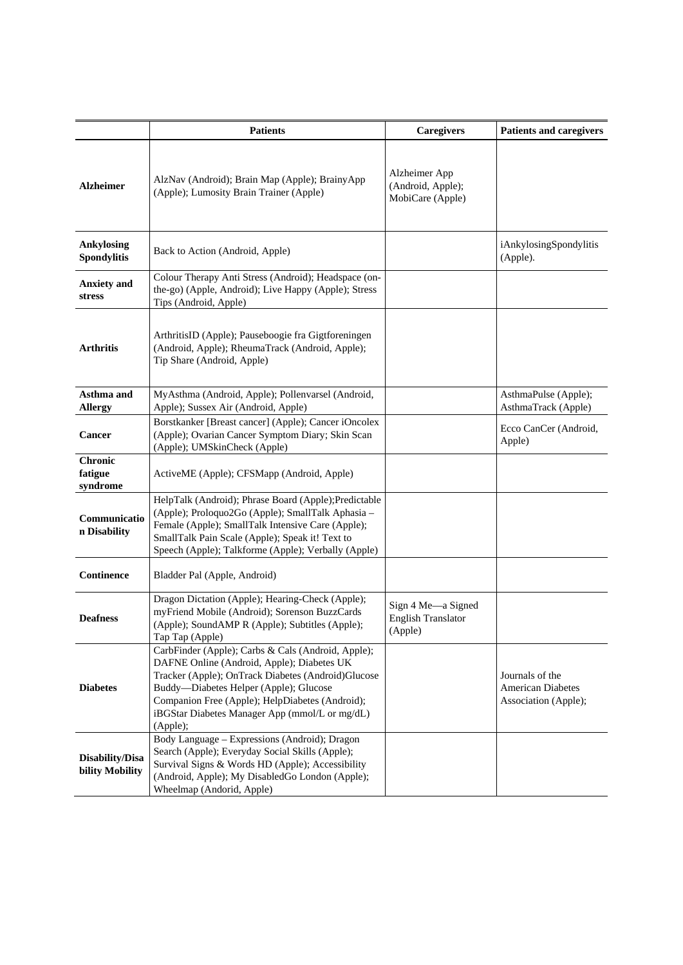|                                         | <b>Patients</b>                                                                                                                                                                                                                                                                                                   | <b>Caregivers</b>                                          | <b>Patients and caregivers</b>                                      |
|-----------------------------------------|-------------------------------------------------------------------------------------------------------------------------------------------------------------------------------------------------------------------------------------------------------------------------------------------------------------------|------------------------------------------------------------|---------------------------------------------------------------------|
| <b>Alzheimer</b>                        | AlzNav (Android); Brain Map (Apple); BrainyApp<br>(Apple); Lumosity Brain Trainer (Apple)                                                                                                                                                                                                                         | Alzheimer App<br>(Android, Apple);<br>MobiCare (Apple)     |                                                                     |
| <b>Ankylosing</b><br><b>Spondylitis</b> | Back to Action (Android, Apple)                                                                                                                                                                                                                                                                                   |                                                            | iAnkylosingSpondylitis<br>(Apple).                                  |
| <b>Anxiety</b> and<br>stress            | Colour Therapy Anti Stress (Android); Headspace (on-<br>the-go) (Apple, Android); Live Happy (Apple); Stress<br>Tips (Android, Apple)                                                                                                                                                                             |                                                            |                                                                     |
| Arthritis                               | ArthritisID (Apple); Pauseboogie fra Gigtforeningen<br>(Android, Apple); RheumaTrack (Android, Apple);<br>Tip Share (Android, Apple)                                                                                                                                                                              |                                                            |                                                                     |
| Asthma and                              | MyAsthma (Android, Apple); Pollenvarsel (Android,                                                                                                                                                                                                                                                                 |                                                            | AsthmaPulse (Apple);                                                |
| <b>Allergy</b>                          | Apple); Sussex Air (Android, Apple)                                                                                                                                                                                                                                                                               |                                                            | AsthmaTrack (Apple)                                                 |
| Cancer                                  | Borstkanker [Breast cancer] (Apple); Cancer iOncolex<br>(Apple); Ovarian Cancer Symptom Diary; Skin Scan<br>(Apple); UMSkinCheck (Apple)                                                                                                                                                                          |                                                            | Ecco CanCer (Android,<br>Apple)                                     |
| <b>Chronic</b><br>fatigue<br>syndrome   | ActiveME (Apple); CFSMapp (Android, Apple)                                                                                                                                                                                                                                                                        |                                                            |                                                                     |
| Communicatio<br>n Disability            | HelpTalk (Android); Phrase Board (Apple); Predictable<br>(Apple); Proloquo2Go (Apple); SmallTalk Aphasia -<br>Female (Apple); SmallTalk Intensive Care (Apple);<br>SmallTalk Pain Scale (Apple); Speak it! Text to<br>Speech (Apple); Talkforme (Apple); Verbally (Apple)                                         |                                                            |                                                                     |
| Continence                              | Bladder Pal (Apple, Android)                                                                                                                                                                                                                                                                                      |                                                            |                                                                     |
| <b>Deafness</b>                         | Dragon Dictation (Apple); Hearing-Check (Apple);<br>myFriend Mobile (Android); Sorenson BuzzCards<br>(Apple); SoundAMP R (Apple); Subtitles (Apple);<br>Tap Tap (Apple)                                                                                                                                           | Sign 4 Me-a Signed<br><b>English Translator</b><br>(Apple) |                                                                     |
| <b>Diabetes</b>                         | CarbFinder (Apple); Carbs & Cals (Android, Apple);<br>DAFNE Online (Android, Apple); Diabetes UK<br>Tracker (Apple); OnTrack Diabetes (Android)Glucose<br>Buddy-Diabetes Helper (Apple); Glucose<br>Companion Free (Apple); HelpDiabetes (Android);<br>iBGStar Diabetes Manager App (mmol/L or mg/dL)<br>(Apple); |                                                            | Journals of the<br><b>American Diabetes</b><br>Association (Apple); |
| Disability/Disa<br>bility Mobility      | Body Language - Expressions (Android); Dragon<br>Search (Apple); Everyday Social Skills (Apple);<br>Survival Signs & Words HD (Apple); Accessibility<br>(Android, Apple); My DisabledGo London (Apple);<br>Wheelmap (Andorid, Apple)                                                                              |                                                            |                                                                     |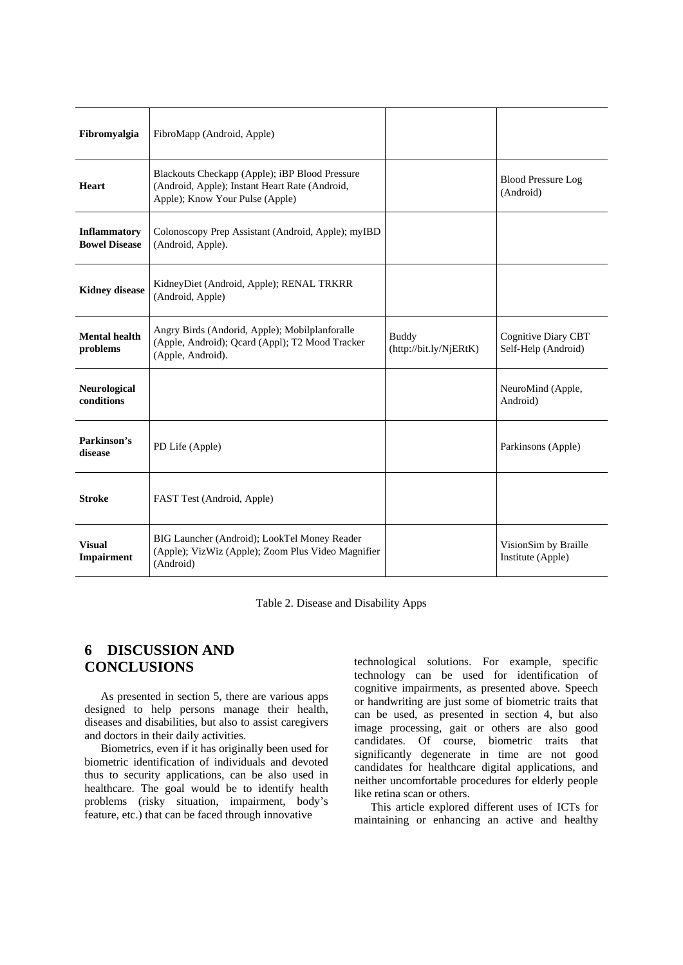| Fibromyalgia                         | FibroMapp (Android, Apple)                                                                                                          |                                        |                                            |
|--------------------------------------|-------------------------------------------------------------------------------------------------------------------------------------|----------------------------------------|--------------------------------------------|
| Heart                                | Blackouts Checkapp (Apple); iBP Blood Pressure<br>(Android, Apple); Instant Heart Rate (Android,<br>Apple); Know Your Pulse (Apple) |                                        | <b>Blood Pressure Log</b><br>(Android)     |
| Inflammatory<br><b>Bowel Disease</b> | Colonoscopy Prep Assistant (Android, Apple); myIBD<br>(Android, Apple).                                                             |                                        |                                            |
| <b>Kidney disease</b>                | KidneyDiet (Android, Apple); RENAL TRKRR<br>(Android, Apple)                                                                        |                                        |                                            |
| <b>Mental health</b><br>problems     | Angry Birds (Andorid, Apple); Mobilplanforalle<br>(Apple, Android); Qcard (Appl); T2 Mood Tracker<br>(Apple, Android).              | <b>Buddy</b><br>(http://bit.ly/NjERtK) | Cognitive Diary CBT<br>Self-Help (Android) |
| <b>Neurological</b><br>conditions    |                                                                                                                                     |                                        | NeuroMind (Apple,<br>Android)              |
| Parkinson's<br>disease               | PD Life (Apple)                                                                                                                     |                                        | Parkinsons (Apple)                         |
| <b>Stroke</b>                        | FAST Test (Android, Apple)                                                                                                          |                                        |                                            |
| <b>Visual</b><br>Impairment          | BIG Launcher (Android); LookTel Money Reader<br>(Apple); VizWiz (Apple); Zoom Plus Video Magnifier<br>(Android)                     |                                        | VisionSim by Braille<br>Institute (Apple)  |

Table 2. Disease and Disability Apps

# **6 DISCUSSION AND CONCLUSIONS**

As presented in section 5, there are various apps designed to help persons manage their health, diseases and disabilities, but also to assist caregivers and doctors in their daily activities.

Biometrics, even if it has originally been used for biometric identification of individuals and devoted thus to security applications, can be also used in healthcare. The goal would be to identify health problems (risky situation, impairment, body's feature, etc.) that can be faced through innovative

technological solutions. For example, specific technology can be used for identification of cognitive impairments, as presented above. Speech or handwriting are just some of biometric traits that can be used, as presented in section 4, but also image processing, gait or others are also good candidates. Of course, biometric traits that significantly degenerate in time are not good candidates for healthcare digital applications, and neither uncomfortable procedures for elderly people like retina scan or others.

This article explored different uses of ICTs for maintaining or enhancing an active and healthy